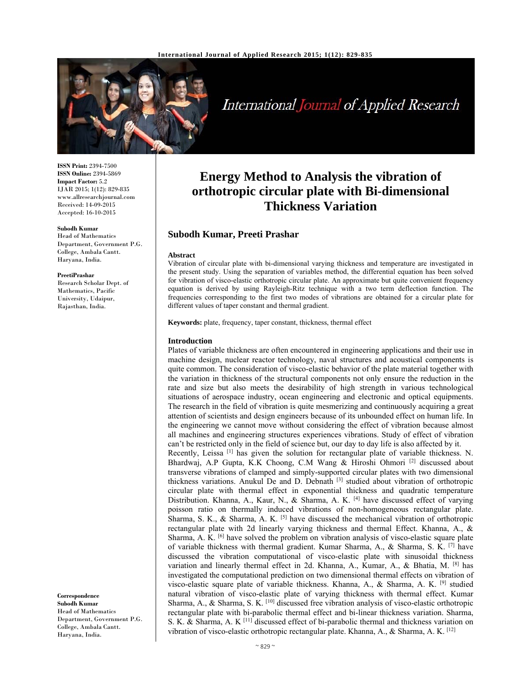

# International Journal of Applied Research

**ISSN Print:** 2394-7500 **ISSN Online:** 2394-5869 **Impact Factor:** 5.2 IJAR 2015; 1(12): 829-835 www.allresearchjournal.com Received: 14-09-2015 Accepted: 16-10-2015

## **Subodh Kumar**

Head of Mathematics Department, Government P.G. College, Ambala Cantt. Haryana, India.

#### **PreetiPrashar**

Research Scholar Dept. of Mathematics, Pacific University, Udaipur, Rajasthan, India.

**Correspondence Subodh Kumar**  Head of Mathematics Department, Government P.G. College, Ambala Cantt. Haryana, India.

## **Energy Method to Analysis the vibration of orthotropic circular plate with Bi-dimensional Thickness Variation**

## **Subodh Kumar, Preeti Prashar**

#### **Abstract**

Vibration of circular plate with bi-dimensional varying thickness and temperature are investigated in the present study. Using the separation of variables method, the differential equation has been solved for vibration of visco-elastic orthotropic circular plate. An approximate but quite convenient frequency equation is derived by using Rayleigh-Ritz technique with a two term deflection function. The frequencies corresponding to the first two modes of vibrations are obtained for a circular plate for different values of taper constant and thermal gradient.

**Keywords:** plate, frequency, taper constant, thickness, thermal effect

#### **Introduction**

Plates of variable thickness are often encountered in engineering applications and their use in machine design, nuclear reactor technology, naval structures and acoustical components is quite common. The consideration of visco-elastic behavior of the plate material together with the variation in thickness of the structural components not only ensure the reduction in the rate and size but also meets the desirability of high strength in various technological situations of aerospace industry, ocean engineering and electronic and optical equipments. The research in the field of vibration is quite mesmerizing and continuously acquiring a great attention of scientists and design engineers because of its unbounded effect on human life. In the engineering we cannot move without considering the effect of vibration because almost all machines and engineering structures experiences vibrations. Study of effect of vibration can't be restricted only in the field of science but, our day to day life is also affected by it.

Recently, Leissa [1] has given the solution for rectangular plate of variable thickness. N. Bhardwaj, A.P Gupta, K.K Choong, C.M Wang & Hiroshi Ohmori [2] discussed about transverse vibrations of clamped and simply-supported circular plates with two dimensional thickness variations. Anukul De and D. Debnath [3] studied about vibration of orthotropic circular plate with thermal effect in exponential thickness and quadratic temperature Distribution. Khanna, A., Kaur, N., & Sharma, A. K. <sup>[4]</sup> have discussed effect of varying poisson ratio on thermally induced vibrations of non-homogeneous rectangular plate. Sharma, S. K., & Sharma, A. K.  $[5]$  have discussed the mechanical vibration of orthotropic rectangular plate with 2d linearly varying thickness and thermal Effect. Khanna, A., & Sharma, A. K.  $[6]$  have solved the problem on vibration analysis of visco-elastic square plate of variable thickness with thermal gradient. Kumar Sharma, A., & Sharma, S. K.  $^{[7]}$  have discussed the vibration computational of visco-elastic plate with sinusoidal thickness variation and linearly thermal effect in 2d. Khanna, A., Kumar, A., & Bhatia, M. [8] has investigated the computational prediction on two dimensional thermal effects on vibration of visco-elastic square plate of variable thickness. Khanna, A., & Sharma, A. K.  $^{[9]}$  studied natural vibration of visco-elastic plate of varying thickness with thermal effect. Kumar Sharma, A., & Sharma, S. K. [10] discussed free vibration analysis of visco-elastic orthotropic rectangular plate with bi-parabolic thermal effect and bi-linear thickness variation. Sharma, S. K. & Sharma, A. K [11] discussed effect of bi-parabolic thermal and thickness variation on vibration of visco-elastic orthotropic rectangular plate. Khanna, A., & Sharma, A. K.  $^{[12]}$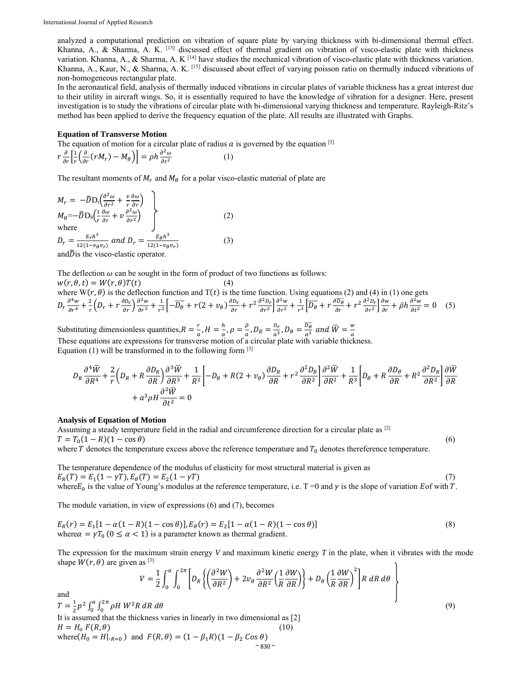analyzed a computational prediction on vibration of square plate by varying thickness with bi-dimensional thermal effect. Khanna, A., & Sharma, A. K.  $^{[13]}$  discussed effect of thermal gradient on vibration of visco-elastic plate with thickness variation. Khanna, A., & Sharma, A. K [14] have studies the mechanical vibration of visco-elastic plate with thickness variation. Khanna, A., Kaur, N., & Sharma, A. K. [15] discussed about effect of varying poisson ratio on thermally induced vibrations of non-homogeneous rectangular plate.

In the aeronautical field, analysis of thermally induced vibrations in circular plates of variable thickness has a great interest due to their utility in aircraft wings. So, it is essentially required to have the knowledge of vibration for a designer. Here, present investigation is to study the vibrations of circular plate with bi-dimensional varying thickness and temperature. Rayleigh-Ritz's method has been applied to derive the frequency equation of the plate. All results are illustrated with Graphs.

#### **Equation of Transverse Motion**

The equation of motion for a circular plate of radius  $\alpha$  is governed by the equation [3]  $r \frac{\partial}{\partial r} \left[ \frac{1}{r} \left( \frac{\partial}{\partial r} (r M_r) - M_\theta \right) \right] = \rho h \frac{\partial^2 \omega}{\partial t^2}$  (1)

The resultant moments of  $M_r$  and  $M_\theta$  for a polar visco-elastic material of plate are

$$
M_r = -\widetilde{D}D_r\left(\frac{\partial^2 \omega}{\partial r^2} + \frac{v}{r}\frac{\partial \omega}{\partial r}\right)
$$
  
\n
$$
M_\theta = -\widetilde{D}D_\theta\left(\frac{1}{r}\frac{\partial \omega}{\partial r} + v\frac{\partial^2 \omega}{\partial r^2}\right)
$$
  
\nwhere  
\n
$$
D_r = \frac{E_r h^3}{12(1 - v_\theta v_r)} \text{ and } D_r = \frac{E_\theta h^3}{12(1 - v_\theta v_r)}
$$
\n
$$
\text{and } \widetilde{D} \text{ is the visco-elastic operator} \tag{3}
$$

and  $D$  is the visco-elastic operator.

The deflection  $\omega$  can be sought in the form of product of two functions as follows:  $w(r, \theta, t) = W(r, \theta)T(t)$  (4)

where  $W(r, \theta)$  is the deflection function and  $T(t)$  is the time function. Using equations (2) and (4) in (1) one gets  $D_r \frac{\partial^4 w}{\partial r^4} + \frac{2}{r} \left( D_r + r \frac{\partial D_r}{\partial r} \right) \frac{\partial^3 w}{\partial r^3} + \frac{1}{r^2} \left[ -\overline{D_\theta} + r (2 + v_\theta) \frac{\partial D_r}{\partial r} + r^2 \frac{\partial^2 D_r}{\partial r^2} \right] \frac{\partial^2 w}{\partial r^2} + \frac{1}{r^3} \left[ \overline{D_\theta} + r \frac{\partial \overline{D_\theta}}{\partial r} + r^2 \frac{\partial^2 D_r}{\partial r^2} \right] \frac{\partial w}{\partial r} + \bar{\rho} h \frac{\partial^$ 

Substituting dimensionless quantities, $R = \frac{r}{a}$ ,  $H = \frac{h}{a}$ ,  $\rho = \frac{\overline{\rho}}{a}$ ,  $D_R = \frac{D_r}{a^3}$ ,  $D_\theta = \frac{\overline{D_\theta}}{a^3}$  and  $\overline{W} = \frac{w}{a}$ .<br>These equations are expressions for transverse motion of a circular plate with Equation (1) will be transformed in to the following form  $[3]$ 

$$
D_R \frac{\partial^4 \overline{W}}{\partial R^4} + \frac{2}{r} \left( D_R + R \frac{\partial D_R}{\partial R} \right) \frac{\partial^3 \overline{W}}{\partial R^3} + \frac{1}{R^2} \left[ -D_\theta + R(2 + \nu_\theta) \frac{\partial D_R}{\partial R} + r^2 \frac{\partial^2 D_R}{\partial R^2} \right] \frac{\partial^2 \overline{W}}{\partial R^2} + \frac{1}{R^3} \left[ D_\theta + R \frac{\partial D_\theta}{\partial R} + R^2 \frac{\partial^2 D_R}{\partial R^2} \right] \frac{\partial \overline{W}}{\partial R} + a^3 \rho H \frac{\partial^2 \overline{W}}{\partial t^2} = 0
$$

#### **Analysis of Equation of Motion**

Assuming a steady temperature field in the radial and circumference direction for a circular plate as [2]  $T = T_0(1 - R)(1 - \cos \theta)$  (6) where  $T$  denotes the temperature excess above the reference temperature and  $T_0$  denotes thereference temperature.

The temperature dependence of the modulus of elasticity for most structural material is given as  $E_R(T) = E_1(1 - \gamma T), E_{\theta}(T) = E_2(1 - \gamma T)$  (7) where  $E_0$  is the value of Young's modulus at the reference temperature, i.e. T =0 and  $\gamma$  is the slope of variation E of with T.

The module variation, in view of expressions (6) and (7), becomes

$$
E_R(r) = E_1[1 - \alpha(1 - R)(1 - \cos \theta)], E_{\theta}(r) = E_2[1 - \alpha(1 - R)(1 - \cos \theta)]
$$
  
where  $\alpha = \gamma T_0$  ( $0 \le \alpha < 1$ ) is a parameter known as thermal gradient. (8)

The expression for the maximum strain energy *V* and maximum kinetic energy *T* in the plate, when it vibrates with the mode shape  $W(r, \theta)$  are given as [3] <sup>1</sup>

$$
V = \frac{1}{2} \int_0^a \int_0^{2\pi} \left[ D_R \left\{ \left( \frac{\partial^2 W}{\partial R^2} \right) + 2 \nu_\theta \frac{\partial^2 W}{\partial R^2} \left( \frac{1}{R} \frac{\partial W}{\partial R} \right) \right\} + D_\theta \left( \frac{1}{R} \frac{\partial W}{\partial R} \right)^2 \right] R \, dR \, d\theta
$$

and

 $T = \frac{1}{2} p^2 \int_0^a \int_0^{2\pi} \rho H W^2 R \, dR \, d\theta$  $\int_0^a \int_0^{2\pi} \rho H \, W^2 R \, dR \, d\theta$  (9) It is assumed that the thickness varies in linearly in two dimensional as [2]  $H = H_o F(R, \theta)$  (10) where  $(H_0 = H|_{R=0})$  and  $F(R, \theta) = (1 - \beta_1 R)(1 - \beta_2 \cos \theta)$ 

$$
\sim 830\,\degree
$$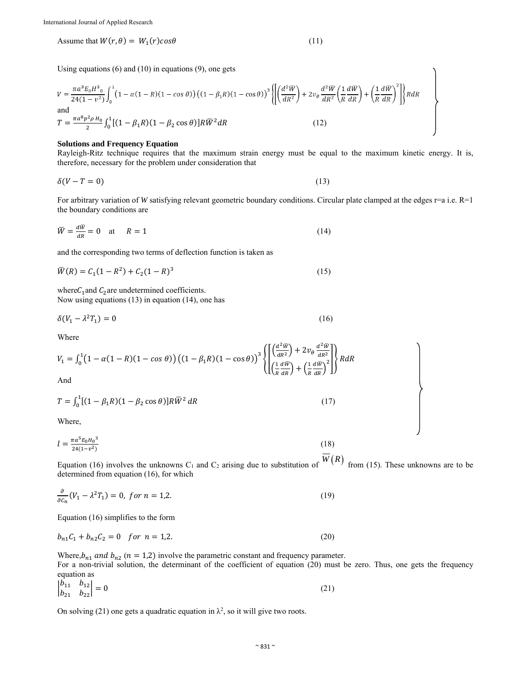Assume that  $W(r, \theta) = W_1(r) cos \theta$  (11)

λ

Using equations  $(6)$  and  $(10)$  in equations  $(9)$ , one gets

$$
V = \frac{\pi a^3 E_0 H^3}{24(1 - v^2)} \int_0^1 (1 - \alpha (1 - R)(1 - \cos \theta)) ((1 - \beta_1 R)(1 - \cos \theta))^3 \left\{ \left[ \left( \frac{d^2 \overline{W}}{dR^2} \right) + 2v_\theta \frac{d^2 \overline{W}}{dR^2} \left( \frac{1}{R} \frac{d \overline{W}}{dR} \right) + \left( \frac{1}{R} \frac{d \overline{W}}{dR} \right)^2 \right] \right\} R dR
$$
\nand\n
$$
T = \frac{\pi a^3 p^2 \rho H_0}{2} \int_0^1 [(1 - \beta_1 R)(1 - \beta_2 \cos \theta)] R \overline{W}^2 dR
$$
\n(12)

### **Solutions and Frequency Equation**

Rayleigh-Ritz technique requires that the maximum strain energy must be equal to the maximum kinetic energy. It is, therefore, necessary for the problem under consideration that

$$
\delta(V - T = 0) \tag{13}
$$

For arbitrary variation of *W* satisfying relevant geometric boundary conditions. Circular plate clamped at the edges r=a i.e. R=1 the boundary conditions are

$$
\overline{W} = \frac{d\overline{w}}{dR} = 0 \quad \text{at} \quad R = 1 \tag{14}
$$

and the corresponding two terms of deflection function is taken as

$$
\overline{W}(R) = C_1(1 - R^2) + C_2(1 - R)^3
$$
\n(15)

where  $C_1$  and  $C_2$  are undetermined coefficients. Now using equations (13) in equation (14), one has

$$
\delta(V_1 - \lambda^2 T_1) = 0\tag{16}
$$

Where

$$
V_1 = \int_0^1 \left(1 - \alpha(1 - R)(1 - \cos\theta)\right) \left((1 - \beta_1 R)(1 - \cos\theta)\right)^3 \left\{ \left[ \left(\frac{d^2 \bar{W}}{dR^2}\right) + 2v_\theta \frac{d^2 \bar{W}}{dR^2} \right] \right\} R dR
$$
  
And

$$
T = \int_0^1 [(1 - \beta_1 R)(1 - \beta_2 \cos \theta)] R \overline{W}^2 dR
$$
 (17)

Where,

$$
l = \frac{\pi a^5 E_0 H_0^3}{24(1 - v^2)}\tag{18}
$$

Equation (16) involves the unknowns C<sub>1</sub> and C<sub>2</sub> arising due to substitution of  $\overline{W}(R)$  from (15). These unknowns are to be determined from equation (16), for which

$$
\frac{\partial}{\partial c_n} (V_1 - \lambda^2 T_1) = 0, \text{ for } n = 1, 2. \tag{19}
$$

Equation (16) simplifies to the form

$$
b_{n1}C_1 + b_{n2}C_2 = 0 \quad \text{for } n = 1, 2. \tag{20}
$$

Where, $b_{n1}$  and  $b_{n2}$  ( $n = 1,2$ ) involve the parametric constant and frequency parameter.

For a non-trivial solution, the determinant of the coefficient of equation (20) must be zero. Thus, one gets the frequency equation as

$$
\begin{vmatrix} b_{11} & b_{12} \\ b_{21} & b_{22} \end{vmatrix} = 0
$$
 (21)

On solving (21) one gets a quadratic equation in  $\lambda^2$ , so it will give two roots.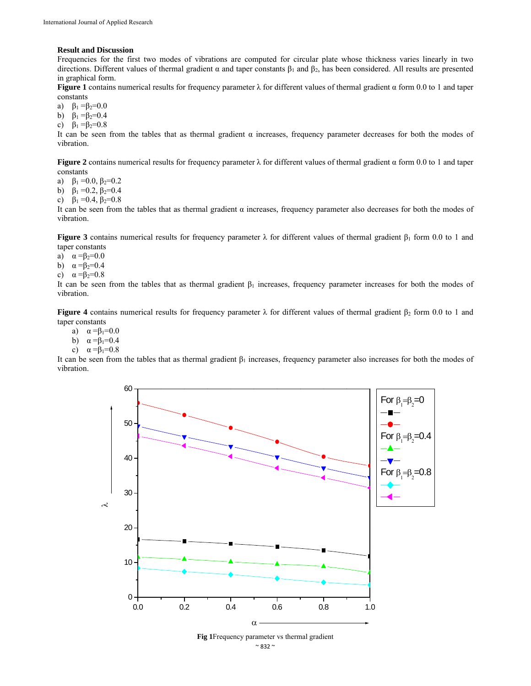#### **Result and Discussion**

Frequencies for the first two modes of vibrations are computed for circular plate whose thickness varies linearly in two directions. Different values of thermal gradient α and taper constants  $β_1$  and  $β_2$ , has been considered. All results are presented in graphical form.

**Figure 1** contains numerical results for frequency parameter  $\lambda$  for different values of thermal gradient α form 0.0 to 1 and taper constants

a)  $\beta_1 = \beta_2 = 0.0$ 

- b)  $\beta_1 = \beta_2 = 0.4$
- c)  $\beta_1 = \beta_2 = 0.8$

It can be seen from the tables that as thermal gradient  $\alpha$  increases, frequency parameter decreases for both the modes of vibration.

**Figure 2** contains numerical results for frequency parameter  $\lambda$  for different values of thermal gradient  $\alpha$  form 0.0 to 1 and taper constants

a)  $\beta_1 = 0.0, \beta_2 = 0.2$ 

b)  $\beta_1 = 0.2$ ,  $\beta_2 = 0.4$ 

c)  $\beta_1 = 0.4$ ,  $\beta_2 = 0.8$ 

It can be seen from the tables that as thermal gradient  $\alpha$  increases, frequency parameter also decreases for both the modes of vibration.

**Figure 3** contains numerical results for frequency parameter  $\lambda$  for different values of thermal gradient  $\beta_1$  form 0.0 to 1 and taper constants

- a)  $\alpha = \beta_2 = 0.0$
- b)  $\alpha = \beta_2 = 0.4$
- c)  $\alpha = \beta_2 = 0.8$

It can be seen from the tables that as thermal gradient  $β_1$  increases, frequency parameter increases for both the modes of vibration.

**Figure 4** contains numerical results for frequency parameter  $\lambda$  for different values of thermal gradient  $\beta_2$  form 0.0 to 1 and taper constants

- a)  $\alpha = \beta_1 = 0.0$
- b)  $\alpha = \beta_1 = 0.4$
- c)  $\alpha = \beta_1 = 0.8$

It can be seen from the tables that as thermal gradient  $β_1$  increases, frequency parameter also increases for both the modes of vibration.



 $\sim$  832  $\sim$ **Fig 1**Frequency parameter vs thermal gradient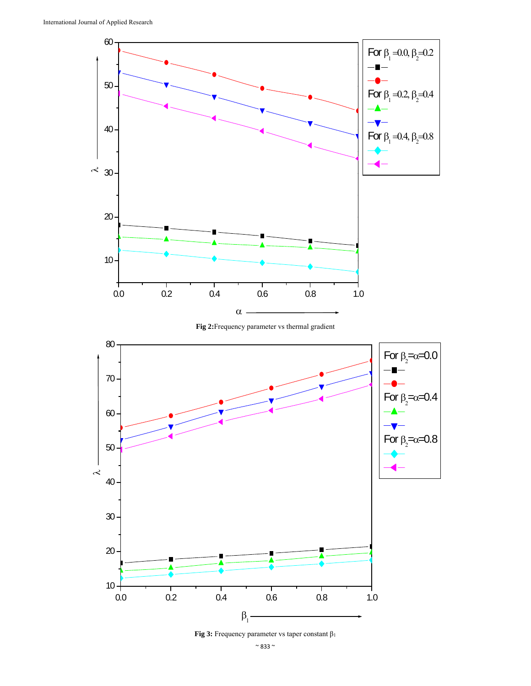

**Fig 2:**Frequency parameter vs thermal gradient



**Fig 3:** Frequency parameter vs taper constant β1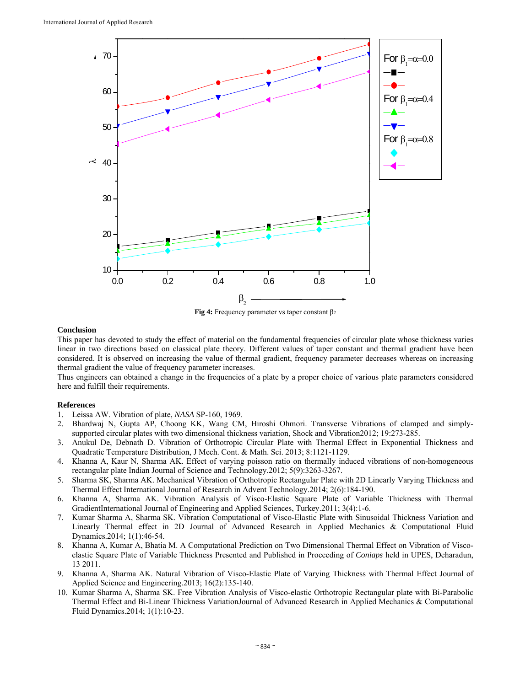

**Fig 4:** Frequency parameter vs taper constant β2

## **Conclusion**

This paper has devoted to study the effect of material on the fundamental frequencies of circular plate whose thickness varies linear in two directions based on classical plate theory. Different values of taper constant and thermal gradient have been considered. It is observed on increasing the value of thermal gradient, frequency parameter decreases whereas on increasing thermal gradient the value of frequency parameter increases.

Thus engineers can obtained a change in the frequencies of a plate by a proper choice of various plate parameters considered here and fulfill their requirements.

## **References**

- 1. Leissa AW. Vibration of plate, *NASA* SP-160, 1969.
- 2. Bhardwaj N, Gupta AP, Choong KK, Wang CM, Hiroshi Ohmori. Transverse Vibrations of clamped and simplysupported circular plates with two dimensional thickness variation, Shock and Vibration2012; 19:273-285.
- 3. Anukul De, Debnath D. Vibration of Orthotropic Circular Plate with Thermal Effect in Exponential Thickness and Quadratic Temperature Distribution, J Mech. Cont. & Math. Sci. 2013; 8:1121-1129.
- 4. Khanna A, Kaur N, Sharma AK. Effect of varying poisson ratio on thermally induced vibrations of non-homogeneous rectangular plate Indian Journal of Science and Technology.2012; 5(9):3263-3267.
- 5. Sharma SK, Sharma AK. Mechanical Vibration of Orthotropic Rectangular Plate with 2D Linearly Varying Thickness and Thermal Effect International Journal of Research in Advent Technology.2014; 2(6):184-190.
- 6. Khanna A, Sharma AK. Vibration Analysis of Visco-Elastic Square Plate of Variable Thickness with Thermal GradientInternational Journal of Engineering and Applied Sciences, Turkey.2011; 3(4):1-6.
- 7. Kumar Sharma A, Sharma SK. Vibration Computational of Visco-Elastic Plate with Sinusoidal Thickness Variation and Linearly Thermal effect in 2D Journal of Advanced Research in Applied Mechanics & Computational Fluid Dynamics.2014; 1(1):46-54.
- 8. Khanna A, Kumar A, Bhatia M. A Computational Prediction on Two Dimensional Thermal Effect on Vibration of Viscoelastic Square Plate of Variable Thickness Presented and Published in Proceeding of *Coniaps* held in UPES, Deharadun, 13 2011.
- 9. Khanna A, Sharma AK. Natural Vibration of Visco-Elastic Plate of Varying Thickness with Thermal Effect Journal of Applied Science and Engineering*.*2013; 16(2):135-140.
- 10. Kumar Sharma A, Sharma SK. Free Vibration Analysis of Visco-elastic Orthotropic Rectangular plate with Bi-Parabolic Thermal Effect and Bi-Linear Thickness VariationJournal of Advanced Research in Applied Mechanics & Computational Fluid Dynamics.2014; 1(1):10-23.